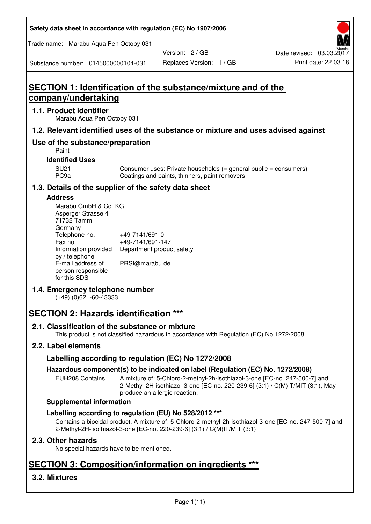**Safety data sheet in accordance with regulation (EC) No 1907/2006** 

Trade name: Marabu Aqua Pen Octopy 031

Version: 2 / GB

Substance number: 0145000000104-031

# **SECTION 1: Identification of the substance/mixture and of the company/undertaking**

## **1.1. Product identifier**

Marabu Aqua Pen Octopy 031

## **1.2. Relevant identified uses of the substance or mixture and uses advised against**

## **Use of the substance/preparation**

Paint

## **Identified Uses**

SU21 Consumer uses: Private households (= general public = consumers)<br>PC9a Coatings and paints, thinners, paint removers Coatings and paints, thinners, paint removers

## **1.3. Details of the supplier of the safety data sheet**

### **Address**

| Marabu GmbH & Co. KG |                           |
|----------------------|---------------------------|
| Asperger Strasse 4   |                           |
| 71732 Tamm           |                           |
| Germany              |                           |
| Telephone no.        | +49-7141/691-0            |
| Fax no.              | +49-7141/691-147          |
| Information provided | Department product safety |
| by / telephone       |                           |
| E-mail address of    | PRSI@marabu.de            |
| person responsible   |                           |
| for this SDS         |                           |

## **1.4. Emergency telephone number**

(+49) (0)621-60-43333

# **SECTION 2: Hazards identification \*\*\***

## **2.1. Classification of the substance or mixture**

This product is not classified hazardous in accordance with Regulation (EC) No 1272/2008.

## **2.2. Label elements**

## **Labelling according to regulation (EC) No 1272/2008**

## **Hazardous component(s) to be indicated on label (Regulation (EC) No. 1272/2008)**

EUH208 Contains A mixture of: 5-Chloro-2-methyl-2h-isothiazol-3-one [EC-no. 247-500-7] and 2-Methyl-2H-isothiazol-3-one [EC-no. 220-239-6] (3:1) / C(M)IT/MIT (3:1), May produce an allergic reaction.

#### **Supplemental information**

## **Labelling according to regulation (EU) No 528/2012 \*\*\***

Contains a biocidal product. A mixture of: 5-Chloro-2-methyl-2h-isothiazol-3-one [EC-no. 247-500-7] and 2-Methyl-2H-isothiazol-3-one [EC-no. 220-239-6] (3:1) / C(M)IT/MIT (3:1)

## **2.3. Other hazards**

No special hazards have to be mentioned.

# **SECTION 3: Composition/information on ingredients \*\*\***

## **3.2. Mixtures**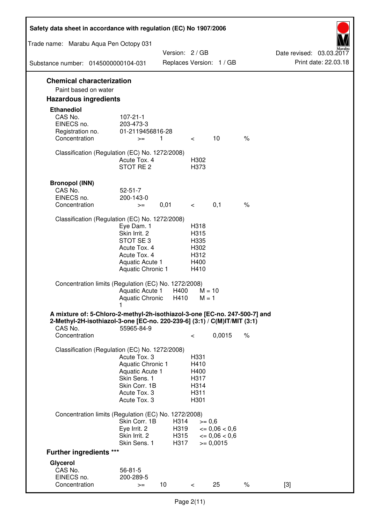| Safety data sheet in accordance with regulation (EC) No 1907/2006                                                                                                 |                                                                                                                       |                              |                                                      |                                                                  |      |                                                  |
|-------------------------------------------------------------------------------------------------------------------------------------------------------------------|-----------------------------------------------------------------------------------------------------------------------|------------------------------|------------------------------------------------------|------------------------------------------------------------------|------|--------------------------------------------------|
| Trade name: Marabu Aqua Pen Octopy 031                                                                                                                            |                                                                                                                       |                              |                                                      |                                                                  |      |                                                  |
|                                                                                                                                                                   |                                                                                                                       | Version: 2/GB                |                                                      |                                                                  |      | Date revised: 03.03.2017<br>Print date: 22.03.18 |
| Substance number: 0145000000104-031                                                                                                                               |                                                                                                                       |                              |                                                      | Replaces Version: 1 / GB                                         |      |                                                  |
| <b>Chemical characterization</b><br>Paint based on water                                                                                                          |                                                                                                                       |                              |                                                      |                                                                  |      |                                                  |
| <b>Hazardous ingredients</b>                                                                                                                                      |                                                                                                                       |                              |                                                      |                                                                  |      |                                                  |
| <b>Ethanediol</b><br>CAS No.<br>EINECS no.<br>Registration no.<br>Concentration                                                                                   | $107 - 21 - 1$<br>203-473-3<br>01-2119456816-28<br>$>=$                                                               | 1                            | $\lt$ $\sim$                                         | 10                                                               | $\%$ |                                                  |
| Classification (Regulation (EC) No. 1272/2008)                                                                                                                    | Acute Tox. 4<br>STOT RE 2                                                                                             |                              | H302<br>H373                                         |                                                                  |      |                                                  |
| <b>Bronopol (INN)</b><br>CAS No.<br>EINECS no.<br>Concentration                                                                                                   | $52 - 51 - 7$<br>200-143-0<br>$>=$                                                                                    | 0,01                         | $\lt$ $\sim$                                         | 0,1                                                              | $\%$ |                                                  |
| Classification (Regulation (EC) No. 1272/2008)                                                                                                                    |                                                                                                                       |                              |                                                      |                                                                  |      |                                                  |
|                                                                                                                                                                   | Eye Dam. 1<br>Skin Irrit. 2<br>STOT SE3<br>Acute Tox. 4<br>Acute Tox. 4<br>Aquatic Acute 1<br>Aquatic Chronic 1       |                              | H318<br>H315<br>H335<br>H302<br>H312<br>H400<br>H410 |                                                                  |      |                                                  |
| Concentration limits (Regulation (EC) No. 1272/2008)                                                                                                              | Aquatic Acute 1<br>Aquatic Chronic $H410$ M = 1                                                                       | H400                         | $M = 10$                                             |                                                                  |      |                                                  |
| A mixture of: 5-Chloro-2-methyl-2h-isothiazol-3-one [EC-no. 247-500-7] and<br>2-Methyl-2H-isothiazol-3-one [EC-no. 220-239-6] (3:1) / C(M)IT/MIT (3:1)<br>CAS No. | 55965-84-9                                                                                                            |                              |                                                      |                                                                  |      |                                                  |
| Concentration                                                                                                                                                     |                                                                                                                       |                              | $\,<\,$                                              | 0,0015                                                           | $\%$ |                                                  |
| Classification (Regulation (EC) No. 1272/2008)                                                                                                                    | Acute Tox. 3<br>Aquatic Chronic 1<br>Aquatic Acute 1<br>Skin Sens. 1<br>Skin Corr. 1B<br>Acute Tox. 3<br>Acute Tox. 3 |                              | H331<br>H410<br>H400<br>H317<br>H314<br>H311<br>H301 |                                                                  |      |                                                  |
| Concentration limits (Regulation (EC) No. 1272/2008)                                                                                                              |                                                                                                                       |                              |                                                      |                                                                  |      |                                                  |
|                                                                                                                                                                   | Skin Corr. 1B<br>Eye Irrit. 2<br>Skin Irrit. 2<br>Skin Sens. 1                                                        | H314<br>H319<br>H315<br>H317 | $>= 0,6$                                             | $\epsilon = 0.06 < 0.6$<br>$\epsilon = 0.06 < 0.6$<br>$= 0,0015$ |      |                                                  |
| <b>Further ingredients ***</b>                                                                                                                                    |                                                                                                                       |                              |                                                      |                                                                  |      |                                                  |
| Glycerol<br>CAS No.<br>EINECS no.<br>Concentration                                                                                                                | $56 - 81 - 5$<br>200-289-5<br>$>=$                                                                                    | 10 <sup>°</sup>              | $\,<\,$                                              | 25                                                               | $\%$ | $[3]$                                            |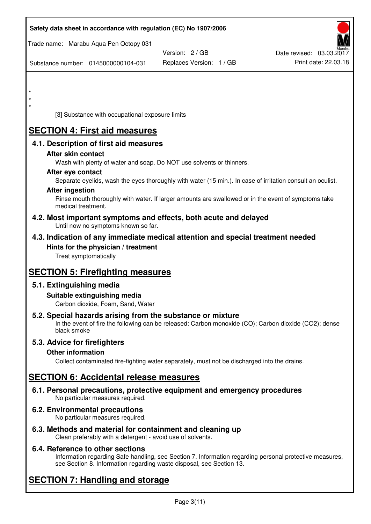| Safety data sheet in accordance with regulation (EC) No 1907/2006                                                                                                                  |                          |                          |
|------------------------------------------------------------------------------------------------------------------------------------------------------------------------------------|--------------------------|--------------------------|
| Trade name: Marabu Aqua Pen Octopy 031                                                                                                                                             |                          |                          |
|                                                                                                                                                                                    | Version: 2 / GB          | Date revised: 03.03.2017 |
| Substance number: 0145000000104-031                                                                                                                                                | Replaces Version: 1 / GB | Print date: 22.03.18     |
|                                                                                                                                                                                    |                          |                          |
| $\star$                                                                                                                                                                            |                          |                          |
| $\star$                                                                                                                                                                            |                          |                          |
| [3] Substance with occupational exposure limits                                                                                                                                    |                          |                          |
| <b>SECTION 4: First aid measures</b>                                                                                                                                               |                          |                          |
| 4.1. Description of first aid measures                                                                                                                                             |                          |                          |
| After skin contact                                                                                                                                                                 |                          |                          |
| Wash with plenty of water and soap. Do NOT use solvents or thinners.                                                                                                               |                          |                          |
| After eye contact                                                                                                                                                                  |                          |                          |
| Separate eyelids, wash the eyes thoroughly with water (15 min.). In case of irritation consult an oculist.<br><b>After ingestion</b>                                               |                          |                          |
| Rinse mouth thoroughly with water. If larger amounts are swallowed or in the event of symptoms take<br>medical treatment.                                                          |                          |                          |
| 4.2. Most important symptoms and effects, both acute and delayed<br>Until now no symptoms known so far.                                                                            |                          |                          |
| 4.3. Indication of any immediate medical attention and special treatment needed                                                                                                    |                          |                          |
| Hints for the physician / treatment<br>Treat symptomatically                                                                                                                       |                          |                          |
| <b>SECTION 5: Firefighting measures</b>                                                                                                                                            |                          |                          |
| 5.1. Extinguishing media                                                                                                                                                           |                          |                          |
| Suitable extinguishing media<br>Carbon dioxide, Foam, Sand, Water                                                                                                                  |                          |                          |
| 5.2. Special hazards arising from the substance or mixture<br>In the event of fire the following can be released: Carbon monoxide (CO); Carbon dioxide (CO2); dense<br>black smoke |                          |                          |
| 5.3. Advice for firefighters                                                                                                                                                       |                          |                          |
| <b>Other information</b>                                                                                                                                                           |                          |                          |
| Collect contaminated fire-fighting water separately, must not be discharged into the drains.                                                                                       |                          |                          |
| <b>SECTION 6: Accidental release measures</b>                                                                                                                                      |                          |                          |
| 6.1. Personal precautions, protective equipment and emergency procedures<br>No particular measures required.                                                                       |                          |                          |
| 6.2. Environmental precautions<br>No particular measures required.                                                                                                                 |                          |                          |
|                                                                                                                                                                                    |                          |                          |

**6.3. Methods and material for containment and cleaning up**  Clean preferably with a detergent - avoid use of solvents.

## **6.4. Reference to other sections**

Information regarding Safe handling, see Section 7. Information regarding personal protective measures, see Section 8. Information regarding waste disposal, see Section 13.

# **SECTION 7: Handling and storage**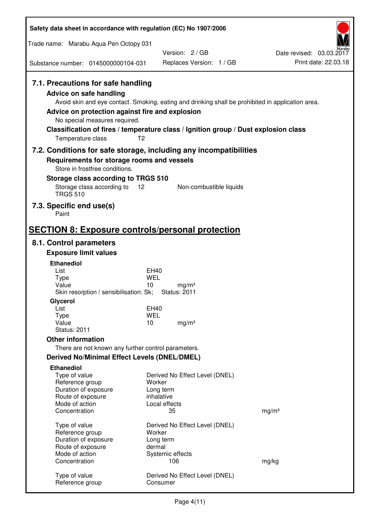| Safety data sheet in accordance with regulation (EC) No 1907/2006                                                                                                             |                                                                                                                                                                                                            |                                                  |  |  |
|-------------------------------------------------------------------------------------------------------------------------------------------------------------------------------|------------------------------------------------------------------------------------------------------------------------------------------------------------------------------------------------------------|--------------------------------------------------|--|--|
| Trade name: Marabu Aqua Pen Octopy 031                                                                                                                                        |                                                                                                                                                                                                            |                                                  |  |  |
|                                                                                                                                                                               | Version: 2/GB                                                                                                                                                                                              | Date revised: 03.03.2017<br>Print date: 22.03.18 |  |  |
| Substance number: 0145000000104-031                                                                                                                                           | Replaces Version: 1 / GB                                                                                                                                                                                   |                                                  |  |  |
| 7.1. Precautions for safe handling<br><b>Advice on safe handling</b><br>Advice on protection against fire and explosion<br>No special measures required.<br>Temperature class | Avoid skin and eye contact. Smoking, eating and drinking shall be prohibited in application area.<br>Classification of fires / temperature class / Ignition group / Dust explosion class<br>T <sub>2</sub> |                                                  |  |  |
|                                                                                                                                                                               | 7.2. Conditions for safe storage, including any incompatibilities                                                                                                                                          |                                                  |  |  |
| Requirements for storage rooms and vessels<br>Store in frostfree conditions.                                                                                                  |                                                                                                                                                                                                            |                                                  |  |  |
| Storage class according to TRGS 510                                                                                                                                           |                                                                                                                                                                                                            |                                                  |  |  |
| Storage class according to<br><b>TRGS 510</b>                                                                                                                                 | 12<br>Non-combustible liquids                                                                                                                                                                              |                                                  |  |  |
| 7.3. Specific end use(s)<br>Paint                                                                                                                                             |                                                                                                                                                                                                            |                                                  |  |  |
| <b>SECTION 8: Exposure controls/personal protection</b>                                                                                                                       |                                                                                                                                                                                                            |                                                  |  |  |
| 8.1. Control parameters                                                                                                                                                       |                                                                                                                                                                                                            |                                                  |  |  |
| <b>Exposure limit values</b>                                                                                                                                                  |                                                                                                                                                                                                            |                                                  |  |  |
| <b>Ethanediol</b>                                                                                                                                                             |                                                                                                                                                                                                            |                                                  |  |  |
| List<br><b>Type</b>                                                                                                                                                           | EH40<br><b>WEL</b>                                                                                                                                                                                         |                                                  |  |  |
| Value<br>Skin resorption / sensibilisation: Sk;                                                                                                                               | 10<br>mg/m <sup>3</sup><br><b>Status: 2011</b>                                                                                                                                                             |                                                  |  |  |
| Glycerol                                                                                                                                                                      |                                                                                                                                                                                                            |                                                  |  |  |
| List                                                                                                                                                                          | <b>EH40</b>                                                                                                                                                                                                |                                                  |  |  |
| <b>Type</b><br>Value                                                                                                                                                          | <b>WEL</b><br>10<br>mg/m <sup>3</sup>                                                                                                                                                                      |                                                  |  |  |
| <b>Status: 2011</b>                                                                                                                                                           |                                                                                                                                                                                                            |                                                  |  |  |
| <b>Other information</b>                                                                                                                                                      |                                                                                                                                                                                                            |                                                  |  |  |
| There are not known any further control parameters.                                                                                                                           |                                                                                                                                                                                                            |                                                  |  |  |
| <b>Derived No/Minimal Effect Levels (DNEL/DMEL)</b>                                                                                                                           |                                                                                                                                                                                                            |                                                  |  |  |
| <b>Ethanediol</b><br>Type of value<br>Reference group<br>Duration of exposure<br>Route of exposure                                                                            | Derived No Effect Level (DNEL)<br>Worker<br>Long term<br>inhalative                                                                                                                                        |                                                  |  |  |
| Mode of action<br>Concentration                                                                                                                                               | Local effects<br>35                                                                                                                                                                                        | mg/m <sup>3</sup>                                |  |  |
|                                                                                                                                                                               |                                                                                                                                                                                                            |                                                  |  |  |
| Type of value                                                                                                                                                                 | Derived No Effect Level (DNEL)                                                                                                                                                                             |                                                  |  |  |
| Reference group<br>Duration of exposure                                                                                                                                       | Worker<br>Long term                                                                                                                                                                                        |                                                  |  |  |
| Route of exposure                                                                                                                                                             | dermal                                                                                                                                                                                                     |                                                  |  |  |
| Mode of action                                                                                                                                                                | Systemic effects                                                                                                                                                                                           |                                                  |  |  |
| Concentration                                                                                                                                                                 | 106                                                                                                                                                                                                        | mg/kg                                            |  |  |
| Type of value<br>Reference group                                                                                                                                              | Derived No Effect Level (DNEL)<br>Consumer                                                                                                                                                                 |                                                  |  |  |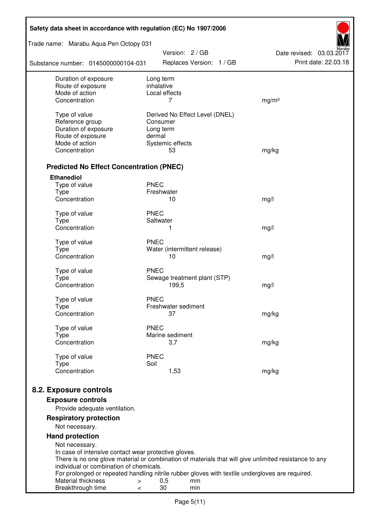| Safety data sheet in accordance with regulation (EC) No 1907/2006 |                                                                                                       |                          |  |  |
|-------------------------------------------------------------------|-------------------------------------------------------------------------------------------------------|--------------------------|--|--|
| Trade name: Marabu Aqua Pen Octopy 031                            | Version: 2 / GB                                                                                       | Date revised: 03.03.2017 |  |  |
| Substance number: 0145000000104-031                               | Replaces Version: 1 / GB                                                                              | Print date: 22.03.18     |  |  |
| Duration of exposure                                              | Long term                                                                                             |                          |  |  |
| Route of exposure<br>Mode of action                               | inhalative<br>Local effects                                                                           |                          |  |  |
| Concentration                                                     | 7                                                                                                     | mg/m <sup>3</sup>        |  |  |
|                                                                   |                                                                                                       |                          |  |  |
| Type of value                                                     | Derived No Effect Level (DNEL)                                                                        |                          |  |  |
| Reference group                                                   | Consumer                                                                                              |                          |  |  |
| Duration of exposure                                              | Long term<br>dermal                                                                                   |                          |  |  |
| Route of exposure<br>Mode of action                               | Systemic effects                                                                                      |                          |  |  |
| Concentration                                                     | 53                                                                                                    | mg/kg                    |  |  |
|                                                                   |                                                                                                       |                          |  |  |
| <b>Predicted No Effect Concentration (PNEC)</b>                   |                                                                                                       |                          |  |  |
| <b>Ethanediol</b>                                                 |                                                                                                       |                          |  |  |
| Type of value                                                     | <b>PNEC</b>                                                                                           |                          |  |  |
| <b>Type</b>                                                       | Freshwater                                                                                            |                          |  |  |
| Concentration                                                     | 10                                                                                                    | mg/l                     |  |  |
| Type of value                                                     | <b>PNEC</b>                                                                                           |                          |  |  |
| <b>Type</b>                                                       | Saltwater                                                                                             |                          |  |  |
| Concentration                                                     | 1                                                                                                     | mg/l                     |  |  |
| Type of value                                                     | <b>PNEC</b>                                                                                           |                          |  |  |
| <b>Type</b>                                                       | Water (intermittent release)                                                                          |                          |  |  |
| Concentration                                                     | 10                                                                                                    | mg/l                     |  |  |
| Type of value                                                     | <b>PNEC</b>                                                                                           |                          |  |  |
| <b>Type</b>                                                       | Sewage treatment plant (STP)                                                                          |                          |  |  |
| Concentration                                                     | 199,5                                                                                                 | mg/l                     |  |  |
| Type of value                                                     | <b>PNEC</b>                                                                                           |                          |  |  |
| Type                                                              | Freshwater sediment                                                                                   |                          |  |  |
| Concentration                                                     | 37                                                                                                    | mg/kg                    |  |  |
| Type of value                                                     | <b>PNEC</b>                                                                                           |                          |  |  |
| <b>Type</b>                                                       | Marine sediment                                                                                       |                          |  |  |
| Concentration                                                     | 3,7                                                                                                   | mg/kg                    |  |  |
|                                                                   |                                                                                                       |                          |  |  |
| Type of value<br><b>Type</b>                                      | <b>PNEC</b><br>Soil                                                                                   |                          |  |  |
| Concentration                                                     | 1,53                                                                                                  | mg/kg                    |  |  |
|                                                                   |                                                                                                       |                          |  |  |
| 8.2. Exposure controls                                            |                                                                                                       |                          |  |  |
| <b>Exposure controls</b>                                          |                                                                                                       |                          |  |  |
| Provide adequate ventilation.                                     |                                                                                                       |                          |  |  |
| <b>Respiratory protection</b>                                     |                                                                                                       |                          |  |  |
| Not necessary.                                                    |                                                                                                       |                          |  |  |
| <b>Hand protection</b>                                            |                                                                                                       |                          |  |  |
| Not necessary.                                                    |                                                                                                       |                          |  |  |
| In case of intensive contact wear protective gloves.              | There is no one glove material or combination of materials that will give unlimited resistance to any |                          |  |  |
| individual or combination of chemicals.                           |                                                                                                       |                          |  |  |
|                                                                   | For prolonged or repeated handling nitrile rubber gloves with textile undergloves are required.       |                          |  |  |
| Material thickness<br>>                                           | 0,5<br>mm                                                                                             |                          |  |  |
| Breakthrough time<br><                                            | 30<br>min                                                                                             |                          |  |  |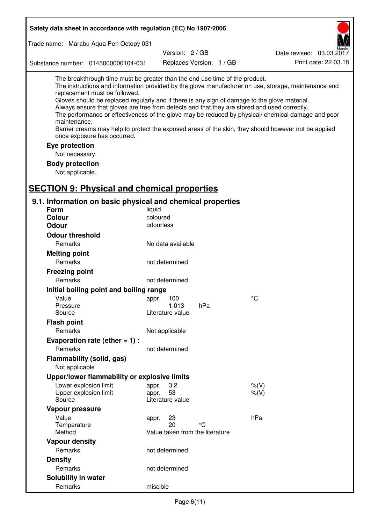| Safety data sheet in accordance with regulation (EC) No 1907/2006                                                                                                                                                                                                                                                                                                                                                                                                                                                                                                                                                                                                                  |                                       |                          |         |                          |
|------------------------------------------------------------------------------------------------------------------------------------------------------------------------------------------------------------------------------------------------------------------------------------------------------------------------------------------------------------------------------------------------------------------------------------------------------------------------------------------------------------------------------------------------------------------------------------------------------------------------------------------------------------------------------------|---------------------------------------|--------------------------|---------|--------------------------|
| Trade name: Marabu Aqua Pen Octopy 031                                                                                                                                                                                                                                                                                                                                                                                                                                                                                                                                                                                                                                             |                                       |                          |         |                          |
|                                                                                                                                                                                                                                                                                                                                                                                                                                                                                                                                                                                                                                                                                    |                                       | Version: 2 / GB          |         | Date revised: 03.03.2017 |
| Substance number: 0145000000104-031                                                                                                                                                                                                                                                                                                                                                                                                                                                                                                                                                                                                                                                |                                       | Replaces Version: 1 / GB |         | Print date: 22.03.18     |
| The breakthrough time must be greater than the end use time of the product.<br>The instructions and information provided by the glove manufacturer on use, storage, maintenance and<br>replacement must be followed.<br>Gloves should be replaced regularly and if there is any sign of damage to the glove material.<br>Always ensure that gloves are free from defects and that they are stored and used correctly.<br>The performance or effectiveness of the glove may be reduced by physical/ chemical damage and poor<br>maintenance.<br>Barrier creams may help to protect the exposed areas of the skin, they should however not be applied<br>once exposure has occurred. |                                       |                          |         |                          |
| Eye protection                                                                                                                                                                                                                                                                                                                                                                                                                                                                                                                                                                                                                                                                     |                                       |                          |         |                          |
| Not necessary.                                                                                                                                                                                                                                                                                                                                                                                                                                                                                                                                                                                                                                                                     |                                       |                          |         |                          |
| <b>Body protection</b>                                                                                                                                                                                                                                                                                                                                                                                                                                                                                                                                                                                                                                                             |                                       |                          |         |                          |
| Not applicable.                                                                                                                                                                                                                                                                                                                                                                                                                                                                                                                                                                                                                                                                    |                                       |                          |         |                          |
|                                                                                                                                                                                                                                                                                                                                                                                                                                                                                                                                                                                                                                                                                    |                                       |                          |         |                          |
| <b>SECTION 9: Physical and chemical properties</b>                                                                                                                                                                                                                                                                                                                                                                                                                                                                                                                                                                                                                                 |                                       |                          |         |                          |
| 9.1. Information on basic physical and chemical properties                                                                                                                                                                                                                                                                                                                                                                                                                                                                                                                                                                                                                         |                                       |                          |         |                          |
| <b>Form</b>                                                                                                                                                                                                                                                                                                                                                                                                                                                                                                                                                                                                                                                                        | liquid                                |                          |         |                          |
| <b>Colour</b>                                                                                                                                                                                                                                                                                                                                                                                                                                                                                                                                                                                                                                                                      | coloured                              |                          |         |                          |
| <b>Odour</b>                                                                                                                                                                                                                                                                                                                                                                                                                                                                                                                                                                                                                                                                       | odourless                             |                          |         |                          |
| <b>Odour threshold</b>                                                                                                                                                                                                                                                                                                                                                                                                                                                                                                                                                                                                                                                             |                                       |                          |         |                          |
| Remarks                                                                                                                                                                                                                                                                                                                                                                                                                                                                                                                                                                                                                                                                            | No data available                     |                          |         |                          |
| <b>Melting point</b>                                                                                                                                                                                                                                                                                                                                                                                                                                                                                                                                                                                                                                                               |                                       |                          |         |                          |
| Remarks                                                                                                                                                                                                                                                                                                                                                                                                                                                                                                                                                                                                                                                                            | not determined                        |                          |         |                          |
| <b>Freezing point</b>                                                                                                                                                                                                                                                                                                                                                                                                                                                                                                                                                                                                                                                              |                                       |                          |         |                          |
| Remarks                                                                                                                                                                                                                                                                                                                                                                                                                                                                                                                                                                                                                                                                            | not determined                        |                          |         |                          |
| Initial boiling point and boiling range                                                                                                                                                                                                                                                                                                                                                                                                                                                                                                                                                                                                                                            |                                       |                          |         |                          |
| Value                                                                                                                                                                                                                                                                                                                                                                                                                                                                                                                                                                                                                                                                              | appr. 100                             |                          | °C      |                          |
| Pressure<br>Source                                                                                                                                                                                                                                                                                                                                                                                                                                                                                                                                                                                                                                                                 | 1.013<br>Literature value             | hPa                      |         |                          |
| <b>Flash point</b>                                                                                                                                                                                                                                                                                                                                                                                                                                                                                                                                                                                                                                                                 |                                       |                          |         |                          |
| Remarks                                                                                                                                                                                                                                                                                                                                                                                                                                                                                                                                                                                                                                                                            | Not applicable                        |                          |         |                          |
| Evaporation rate (ether $= 1$ ) :                                                                                                                                                                                                                                                                                                                                                                                                                                                                                                                                                                                                                                                  |                                       |                          |         |                          |
| Remarks                                                                                                                                                                                                                                                                                                                                                                                                                                                                                                                                                                                                                                                                            | not determined                        |                          |         |                          |
| Flammability (solid, gas)                                                                                                                                                                                                                                                                                                                                                                                                                                                                                                                                                                                                                                                          |                                       |                          |         |                          |
| Not applicable                                                                                                                                                                                                                                                                                                                                                                                                                                                                                                                                                                                                                                                                     |                                       |                          |         |                          |
| Upper/lower flammability or explosive limits                                                                                                                                                                                                                                                                                                                                                                                                                                                                                                                                                                                                                                       |                                       |                          |         |                          |
| Lower explosion limit                                                                                                                                                                                                                                                                                                                                                                                                                                                                                                                                                                                                                                                              | 3,2<br>appr.                          |                          | $%$ (V) |                          |
| Upper explosion limit                                                                                                                                                                                                                                                                                                                                                                                                                                                                                                                                                                                                                                                              | 53<br>appr.                           |                          | $%$ (V) |                          |
| Source                                                                                                                                                                                                                                                                                                                                                                                                                                                                                                                                                                                                                                                                             | Literature value                      |                          |         |                          |
| Vapour pressure                                                                                                                                                                                                                                                                                                                                                                                                                                                                                                                                                                                                                                                                    |                                       |                          |         |                          |
| Value                                                                                                                                                                                                                                                                                                                                                                                                                                                                                                                                                                                                                                                                              | 23<br>appr.                           |                          | hPa     |                          |
| Temperature<br>Method                                                                                                                                                                                                                                                                                                                                                                                                                                                                                                                                                                                                                                                              | 20<br>Value taken from the literature | °C                       |         |                          |
| <b>Vapour density</b>                                                                                                                                                                                                                                                                                                                                                                                                                                                                                                                                                                                                                                                              |                                       |                          |         |                          |
| Remarks                                                                                                                                                                                                                                                                                                                                                                                                                                                                                                                                                                                                                                                                            | not determined                        |                          |         |                          |
| <b>Density</b>                                                                                                                                                                                                                                                                                                                                                                                                                                                                                                                                                                                                                                                                     |                                       |                          |         |                          |
| Remarks                                                                                                                                                                                                                                                                                                                                                                                                                                                                                                                                                                                                                                                                            | not determined                        |                          |         |                          |
| Solubility in water                                                                                                                                                                                                                                                                                                                                                                                                                                                                                                                                                                                                                                                                |                                       |                          |         |                          |
| Remarks                                                                                                                                                                                                                                                                                                                                                                                                                                                                                                                                                                                                                                                                            | miscible                              |                          |         |                          |
|                                                                                                                                                                                                                                                                                                                                                                                                                                                                                                                                                                                                                                                                                    |                                       |                          |         |                          |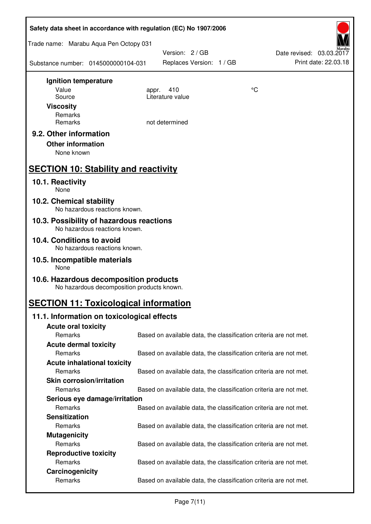| Safety data sheet in accordance with regulation (EC) No 1907/2006                    |                                                                   |    |                                                  |  |
|--------------------------------------------------------------------------------------|-------------------------------------------------------------------|----|--------------------------------------------------|--|
| Trade name: Marabu Aqua Pen Octopy 031                                               |                                                                   |    |                                                  |  |
| Substance number: 0145000000104-031                                                  | Version: 2 / GB<br>Replaces Version: 1 / GB                       |    | Date revised: 03.03.2017<br>Print date: 22.03.18 |  |
| Ignition temperature                                                                 |                                                                   |    |                                                  |  |
| Value                                                                                | 410<br>appr.                                                      | °C |                                                  |  |
| Source<br><b>Viscosity</b>                                                           | Literature value                                                  |    |                                                  |  |
| Remarks                                                                              |                                                                   |    |                                                  |  |
| Remarks                                                                              | not determined                                                    |    |                                                  |  |
| 9.2. Other information                                                               |                                                                   |    |                                                  |  |
| <b>Other information</b>                                                             |                                                                   |    |                                                  |  |
| None known                                                                           |                                                                   |    |                                                  |  |
| <b>SECTION 10: Stability and reactivity</b>                                          |                                                                   |    |                                                  |  |
| 10.1. Reactivity<br>None                                                             |                                                                   |    |                                                  |  |
| 10.2. Chemical stability<br>No hazardous reactions known.                            |                                                                   |    |                                                  |  |
| 10.3. Possibility of hazardous reactions<br>No hazardous reactions known.            |                                                                   |    |                                                  |  |
| 10.4. Conditions to avoid                                                            |                                                                   |    |                                                  |  |
| No hazardous reactions known.                                                        |                                                                   |    |                                                  |  |
| 10.5. Incompatible materials<br>None                                                 |                                                                   |    |                                                  |  |
| 10.6. Hazardous decomposition products<br>No hazardous decomposition products known. |                                                                   |    |                                                  |  |
| <b>SECTION 11: Toxicological information</b>                                         |                                                                   |    |                                                  |  |
| 11.1. Information on toxicological effects                                           |                                                                   |    |                                                  |  |
| <b>Acute oral toxicity</b>                                                           |                                                                   |    |                                                  |  |
| Remarks                                                                              | Based on available data, the classification criteria are not met. |    |                                                  |  |
| <b>Acute dermal toxicity</b><br>Remarks                                              | Based on available data, the classification criteria are not met. |    |                                                  |  |
| <b>Acute inhalational toxicity</b>                                                   |                                                                   |    |                                                  |  |
| Remarks                                                                              | Based on available data, the classification criteria are not met. |    |                                                  |  |
| <b>Skin corrosion/irritation</b>                                                     |                                                                   |    |                                                  |  |
| Remarks                                                                              | Based on available data, the classification criteria are not met. |    |                                                  |  |
| Serious eye damage/irritation                                                        |                                                                   |    |                                                  |  |
| Remarks                                                                              | Based on available data, the classification criteria are not met. |    |                                                  |  |
| <b>Sensitization</b>                                                                 |                                                                   |    |                                                  |  |
| Remarks<br><b>Mutagenicity</b>                                                       | Based on available data, the classification criteria are not met. |    |                                                  |  |
| Remarks                                                                              | Based on available data, the classification criteria are not met. |    |                                                  |  |
| <b>Reproductive toxicity</b>                                                         |                                                                   |    |                                                  |  |
| Remarks                                                                              | Based on available data, the classification criteria are not met. |    |                                                  |  |
| Carcinogenicity                                                                      |                                                                   |    |                                                  |  |
| Remarks                                                                              | Based on available data, the classification criteria are not met. |    |                                                  |  |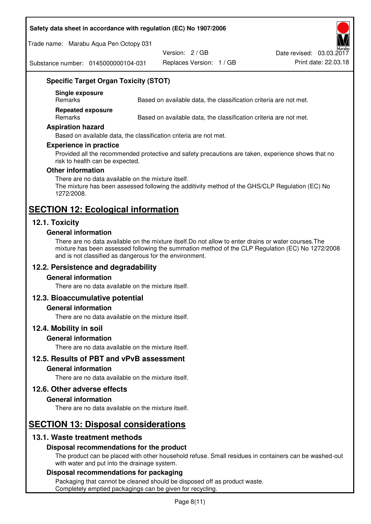#### **Safety data sheet in accordance with regulation (EC) No 1907/2006**

Trade name: Marabu Aqua Pen Octopy 031

Version: 2 / GB

Replaces Version: 1 / GB Print date: 22.03.18 Date revised: 03.03.2017

Substance number: 0145000000104-031

## **Specific Target Organ Toxicity (STOT)**

**Single exposure** 

Based on available data, the classification criteria are not met.

**Repeated exposure** 

Remarks Based on available data, the classification criteria are not met.

#### **Aspiration hazard**

Based on available data, the classification criteria are not met.

#### **Experience in practice**

Provided all the recommended protective and safety precautions are taken, experience shows that no risk to health can be expected.

#### **Other information**

There are no data available on the mixture itself. The mixture has been assessed following the additivity method of the GHS/CLP Regulation (EC) No 1272/2008.

## **SECTION 12: Ecological information**

## **12.1. Toxicity**

#### **General information**

There are no data available on the mixture itself.Do not allow to enter drains or water courses.The mixture has been assessed following the summation method of the CLP Regulation (EC) No 1272/2008 and is not classified as dangerous for the environment.

## **12.2. Persistence and degradability**

#### **General information**

There are no data available on the mixture itself.

#### **12.3. Bioaccumulative potential**

#### **General information**

There are no data available on the mixture itself.

#### **12.4. Mobility in soil**

#### **General information**

There are no data available on the mixture itself.

#### **12.5. Results of PBT and vPvB assessment**

#### **General information**

There are no data available on the mixture itself.

#### **12.6. Other adverse effects**

#### **General information**

There are no data available on the mixture itself.

# **SECTION 13: Disposal considerations**

## **13.1. Waste treatment methods**

#### **Disposal recommendations for the product**

The product can be placed with other household refuse. Small residues in containers can be washed-out with water and put into the drainage system.

#### **Disposal recommendations for packaging**

Packaging that cannot be cleaned should be disposed off as product waste. Completely emptied packagings can be given for recycling.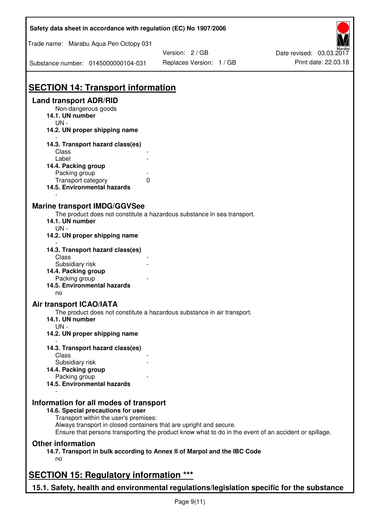| Safety data sheet in accordance with regulation (EC) No 1907/2006                                           |                                                                                                       |                                                  |  |  |
|-------------------------------------------------------------------------------------------------------------|-------------------------------------------------------------------------------------------------------|--------------------------------------------------|--|--|
| Trade name: Marabu Aqua Pen Octopy 031                                                                      |                                                                                                       |                                                  |  |  |
| Substance number: 0145000000104-031                                                                         | Version: 2 / GB<br>Replaces Version: 1 / GB                                                           | Date revised: 03.03.2017<br>Print date: 22.03.18 |  |  |
|                                                                                                             |                                                                                                       |                                                  |  |  |
| <b>SECTION 14: Transport information</b>                                                                    |                                                                                                       |                                                  |  |  |
| <b>Land transport ADR/RID</b><br>Non-dangerous goods<br>14.1. UN number<br>$UN -$                           |                                                                                                       |                                                  |  |  |
| 14.2. UN proper shipping name                                                                               |                                                                                                       |                                                  |  |  |
| 14.3. Transport hazard class(es)                                                                            |                                                                                                       |                                                  |  |  |
| Class<br>Label                                                                                              |                                                                                                       |                                                  |  |  |
| 14.4. Packing group                                                                                         |                                                                                                       |                                                  |  |  |
| Packing group                                                                                               |                                                                                                       |                                                  |  |  |
| Transport category<br>0                                                                                     |                                                                                                       |                                                  |  |  |
| 14.5. Environmental hazards                                                                                 |                                                                                                       |                                                  |  |  |
| <b>Marine transport IMDG/GGVSee</b>                                                                         |                                                                                                       |                                                  |  |  |
|                                                                                                             | The product does not constitute a hazardous substance in sea transport.                               |                                                  |  |  |
| 14.1. UN number                                                                                             |                                                                                                       |                                                  |  |  |
| $UN -$<br>14.2. UN proper shipping name                                                                     |                                                                                                       |                                                  |  |  |
| 14.3. Transport hazard class(es)                                                                            |                                                                                                       |                                                  |  |  |
| Class                                                                                                       |                                                                                                       |                                                  |  |  |
| Subsidiary risk<br>14.4. Packing group                                                                      |                                                                                                       |                                                  |  |  |
| Packing group                                                                                               |                                                                                                       |                                                  |  |  |
| 14.5. Environmental hazards<br>no                                                                           |                                                                                                       |                                                  |  |  |
| <b>Air transport ICAO/IATA</b>                                                                              |                                                                                                       |                                                  |  |  |
| 14.1. UN number                                                                                             | The product does not constitute a hazardous substance in air transport.                               |                                                  |  |  |
| $UN -$<br>14.2. UN proper shipping name                                                                     |                                                                                                       |                                                  |  |  |
| 14.3. Transport hazard class(es)                                                                            |                                                                                                       |                                                  |  |  |
| Class                                                                                                       |                                                                                                       |                                                  |  |  |
| Subsidiary risk                                                                                             |                                                                                                       |                                                  |  |  |
| 14.4. Packing group<br>Packing group                                                                        |                                                                                                       |                                                  |  |  |
| 14.5. Environmental hazards                                                                                 |                                                                                                       |                                                  |  |  |
| Information for all modes of transport<br>14.6. Special precautions for user                                |                                                                                                       |                                                  |  |  |
| Transport within the user's premises:<br>Always transport in closed containers that are upright and secure. |                                                                                                       |                                                  |  |  |
|                                                                                                             | Ensure that persons transporting the product know what to do in the event of an accident or spillage. |                                                  |  |  |
| <b>Other information</b><br>14.7. Transport in bulk according to Annex II of Marpol and the IBC Code<br>no  |                                                                                                       |                                                  |  |  |
| <b>SECTION 15: Regulatory information ***</b>                                                               |                                                                                                       |                                                  |  |  |
|                                                                                                             |                                                                                                       |                                                  |  |  |
| 15.1. Safety, health and environmental regulations/legislation specific for the substance                   |                                                                                                       |                                                  |  |  |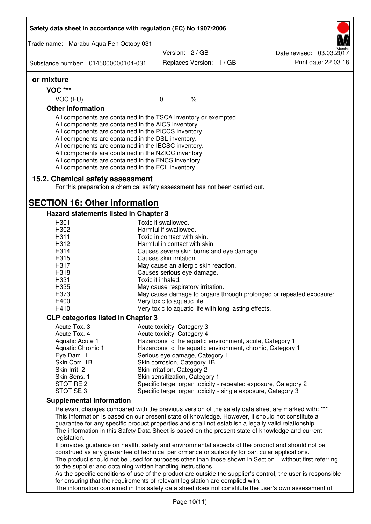|                                                                                                                                                                              | Safety data sheet in accordance with regulation (EC) No 1907/2006                                                                                                                                                                                                                                                                                                                                                                                                 |                                                                     |                          |  |                                                                                                                                                                                                                                                                                                                                                                                                                  |
|------------------------------------------------------------------------------------------------------------------------------------------------------------------------------|-------------------------------------------------------------------------------------------------------------------------------------------------------------------------------------------------------------------------------------------------------------------------------------------------------------------------------------------------------------------------------------------------------------------------------------------------------------------|---------------------------------------------------------------------|--------------------------|--|------------------------------------------------------------------------------------------------------------------------------------------------------------------------------------------------------------------------------------------------------------------------------------------------------------------------------------------------------------------------------------------------------------------|
|                                                                                                                                                                              | Trade name: Marabu Aqua Pen Octopy 031                                                                                                                                                                                                                                                                                                                                                                                                                            |                                                                     |                          |  |                                                                                                                                                                                                                                                                                                                                                                                                                  |
|                                                                                                                                                                              |                                                                                                                                                                                                                                                                                                                                                                                                                                                                   | Version: 2 / GB                                                     |                          |  | Date revised: 03.03.2017                                                                                                                                                                                                                                                                                                                                                                                         |
| Substance number: 0145000000104-031                                                                                                                                          |                                                                                                                                                                                                                                                                                                                                                                                                                                                                   |                                                                     | Replaces Version: 1 / GB |  | Print date: 22.03.18                                                                                                                                                                                                                                                                                                                                                                                             |
| or mixture                                                                                                                                                                   |                                                                                                                                                                                                                                                                                                                                                                                                                                                                   |                                                                     |                          |  |                                                                                                                                                                                                                                                                                                                                                                                                                  |
| <b>VOC ***</b>                                                                                                                                                               |                                                                                                                                                                                                                                                                                                                                                                                                                                                                   |                                                                     |                          |  |                                                                                                                                                                                                                                                                                                                                                                                                                  |
| VOC (EU)                                                                                                                                                                     |                                                                                                                                                                                                                                                                                                                                                                                                                                                                   | $\mathbf 0$                                                         | $\%$                     |  |                                                                                                                                                                                                                                                                                                                                                                                                                  |
| <b>Other information</b>                                                                                                                                                     |                                                                                                                                                                                                                                                                                                                                                                                                                                                                   |                                                                     |                          |  |                                                                                                                                                                                                                                                                                                                                                                                                                  |
|                                                                                                                                                                              | All components are contained in the TSCA inventory or exempted.<br>All components are contained in the AICS inventory.<br>All components are contained in the PICCS inventory.<br>All components are contained in the DSL inventory.<br>All components are contained in the IECSC inventory.<br>All components are contained in the NZIOC inventory.<br>All components are contained in the ENCS inventory.<br>All components are contained in the ECL inventory. |                                                                     |                          |  |                                                                                                                                                                                                                                                                                                                                                                                                                  |
|                                                                                                                                                                              | 15.2. Chemical safety assessment<br>For this preparation a chemical safety assessment has not been carried out.                                                                                                                                                                                                                                                                                                                                                   |                                                                     |                          |  |                                                                                                                                                                                                                                                                                                                                                                                                                  |
|                                                                                                                                                                              | <b>SECTION 16: Other information</b>                                                                                                                                                                                                                                                                                                                                                                                                                              |                                                                     |                          |  |                                                                                                                                                                                                                                                                                                                                                                                                                  |
|                                                                                                                                                                              | Hazard statements listed in Chapter 3                                                                                                                                                                                                                                                                                                                                                                                                                             |                                                                     |                          |  |                                                                                                                                                                                                                                                                                                                                                                                                                  |
| H301                                                                                                                                                                         |                                                                                                                                                                                                                                                                                                                                                                                                                                                                   | Toxic if swallowed.                                                 |                          |  |                                                                                                                                                                                                                                                                                                                                                                                                                  |
| H302                                                                                                                                                                         |                                                                                                                                                                                                                                                                                                                                                                                                                                                                   | Harmful if swallowed.                                               |                          |  |                                                                                                                                                                                                                                                                                                                                                                                                                  |
| H311<br>H312                                                                                                                                                                 |                                                                                                                                                                                                                                                                                                                                                                                                                                                                   | Toxic in contact with skin.<br>Harmful in contact with skin.        |                          |  |                                                                                                                                                                                                                                                                                                                                                                                                                  |
| H314                                                                                                                                                                         |                                                                                                                                                                                                                                                                                                                                                                                                                                                                   |                                                                     |                          |  |                                                                                                                                                                                                                                                                                                                                                                                                                  |
| H315                                                                                                                                                                         |                                                                                                                                                                                                                                                                                                                                                                                                                                                                   | Causes severe skin burns and eye damage.<br>Causes skin irritation. |                          |  |                                                                                                                                                                                                                                                                                                                                                                                                                  |
| H317                                                                                                                                                                         |                                                                                                                                                                                                                                                                                                                                                                                                                                                                   |                                                                     |                          |  |                                                                                                                                                                                                                                                                                                                                                                                                                  |
| H318                                                                                                                                                                         |                                                                                                                                                                                                                                                                                                                                                                                                                                                                   | May cause an allergic skin reaction.                                |                          |  |                                                                                                                                                                                                                                                                                                                                                                                                                  |
| H331                                                                                                                                                                         |                                                                                                                                                                                                                                                                                                                                                                                                                                                                   | Causes serious eye damage.<br>Toxic if inhaled.                     |                          |  |                                                                                                                                                                                                                                                                                                                                                                                                                  |
| H335                                                                                                                                                                         |                                                                                                                                                                                                                                                                                                                                                                                                                                                                   | May cause respiratory irritation.                                   |                          |  |                                                                                                                                                                                                                                                                                                                                                                                                                  |
| H373                                                                                                                                                                         |                                                                                                                                                                                                                                                                                                                                                                                                                                                                   |                                                                     |                          |  | May cause damage to organs through prolonged or repeated exposure:                                                                                                                                                                                                                                                                                                                                               |
| H400                                                                                                                                                                         |                                                                                                                                                                                                                                                                                                                                                                                                                                                                   | Very toxic to aquatic life.                                         |                          |  |                                                                                                                                                                                                                                                                                                                                                                                                                  |
| H410                                                                                                                                                                         |                                                                                                                                                                                                                                                                                                                                                                                                                                                                   | Very toxic to aquatic life with long lasting effects.               |                          |  |                                                                                                                                                                                                                                                                                                                                                                                                                  |
|                                                                                                                                                                              | <b>CLP categories listed in Chapter 3</b>                                                                                                                                                                                                                                                                                                                                                                                                                         |                                                                     |                          |  |                                                                                                                                                                                                                                                                                                                                                                                                                  |
| Acute Tox. 3                                                                                                                                                                 |                                                                                                                                                                                                                                                                                                                                                                                                                                                                   | Acute toxicity, Category 3                                          |                          |  |                                                                                                                                                                                                                                                                                                                                                                                                                  |
| Acute Tox. 4                                                                                                                                                                 |                                                                                                                                                                                                                                                                                                                                                                                                                                                                   | Acute toxicity, Category 4                                          |                          |  |                                                                                                                                                                                                                                                                                                                                                                                                                  |
| Aquatic Acute 1                                                                                                                                                              |                                                                                                                                                                                                                                                                                                                                                                                                                                                                   |                                                                     |                          |  | Hazardous to the aquatic environment, acute, Category 1                                                                                                                                                                                                                                                                                                                                                          |
| Aquatic Chronic 1                                                                                                                                                            |                                                                                                                                                                                                                                                                                                                                                                                                                                                                   |                                                                     |                          |  | Hazardous to the aquatic environment, chronic, Category 1                                                                                                                                                                                                                                                                                                                                                        |
| Eye Dam. 1                                                                                                                                                                   |                                                                                                                                                                                                                                                                                                                                                                                                                                                                   | Serious eye damage, Category 1                                      |                          |  |                                                                                                                                                                                                                                                                                                                                                                                                                  |
| Skin Corr. 1B                                                                                                                                                                |                                                                                                                                                                                                                                                                                                                                                                                                                                                                   | Skin corrosion, Category 1B                                         |                          |  |                                                                                                                                                                                                                                                                                                                                                                                                                  |
| Skin Irrit. 2                                                                                                                                                                |                                                                                                                                                                                                                                                                                                                                                                                                                                                                   | Skin irritation, Category 2                                         |                          |  |                                                                                                                                                                                                                                                                                                                                                                                                                  |
| Skin Sens. 1                                                                                                                                                                 |                                                                                                                                                                                                                                                                                                                                                                                                                                                                   | Skin sensitization, Category 1                                      |                          |  |                                                                                                                                                                                                                                                                                                                                                                                                                  |
| STOT RE 2                                                                                                                                                                    |                                                                                                                                                                                                                                                                                                                                                                                                                                                                   |                                                                     |                          |  | Specific target organ toxicity - repeated exposure, Category 2                                                                                                                                                                                                                                                                                                                                                   |
| STOT SE3                                                                                                                                                                     |                                                                                                                                                                                                                                                                                                                                                                                                                                                                   |                                                                     |                          |  | Specific target organ toxicity - single exposure, Category 3                                                                                                                                                                                                                                                                                                                                                     |
| <b>Supplemental information</b>                                                                                                                                              |                                                                                                                                                                                                                                                                                                                                                                                                                                                                   |                                                                     |                          |  |                                                                                                                                                                                                                                                                                                                                                                                                                  |
|                                                                                                                                                                              |                                                                                                                                                                                                                                                                                                                                                                                                                                                                   |                                                                     |                          |  | Relevant changes compared with the previous version of the safety data sheet are marked with: ***<br>This information is based on our present state of knowledge. However, it should not constitute a<br>guarantee for any specific product properties and shall not establish a legally valid relationship.<br>The information in this Safety Data Sheet is based on the present state of knowledge and current |
| legislation.                                                                                                                                                                 |                                                                                                                                                                                                                                                                                                                                                                                                                                                                   |                                                                     |                          |  |                                                                                                                                                                                                                                                                                                                                                                                                                  |
|                                                                                                                                                                              | construed as any guarantee of technical performance or suitability for particular applications.                                                                                                                                                                                                                                                                                                                                                                   |                                                                     |                          |  | It provides guidance on health, safety and environmental aspects of the product and should not be<br>The product should not be used for purposes other than those shown in Section 1 without first referring                                                                                                                                                                                                     |
| to the supplier and obtaining written handling instructions.<br>As the specific conditions of use of the product are outside the supplier's control, the user is responsible |                                                                                                                                                                                                                                                                                                                                                                                                                                                                   |                                                                     |                          |  |                                                                                                                                                                                                                                                                                                                                                                                                                  |
|                                                                                                                                                                              | for ensuring that the requirements of relevant legislation are complied with.                                                                                                                                                                                                                                                                                                                                                                                     |                                                                     |                          |  | The information contained in this safety data sheet does not constitute the user's own assessment of                                                                                                                                                                                                                                                                                                             |